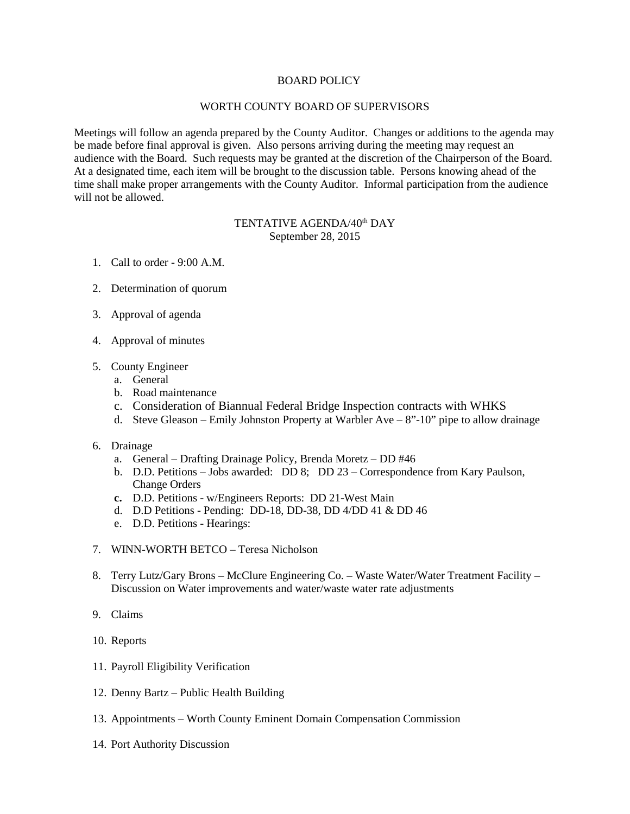## BOARD POLICY

## WORTH COUNTY BOARD OF SUPERVISORS

Meetings will follow an agenda prepared by the County Auditor. Changes or additions to the agenda may be made before final approval is given. Also persons arriving during the meeting may request an audience with the Board. Such requests may be granted at the discretion of the Chairperson of the Board. At a designated time, each item will be brought to the discussion table. Persons knowing ahead of the time shall make proper arrangements with the County Auditor. Informal participation from the audience will not be allowed.

## TENTATIVE AGENDA/40<sup>th</sup> DAY September 28, 2015

- 1. Call to order 9:00 A.M.
- 2. Determination of quorum
- 3. Approval of agenda
- 4. Approval of minutes
- 5. County Engineer
	- a. General
	- b. Road maintenance
	- c. Consideration of Biannual Federal Bridge Inspection contracts with WHKS
	- d. Steve Gleason Emily Johnston Property at Warbler Ave  $8"$ -10" pipe to allow drainage
- 6. Drainage
	- a. General Drafting Drainage Policy, Brenda Moretz DD #46
	- b. D.D. Petitions Jobs awarded: DD 8; DD 23 Correspondence from Kary Paulson, Change Orders
	- **c.** D.D. Petitions w/Engineers Reports: DD 21-West Main
	- d. D.D Petitions Pending: DD-18, DD-38, DD 4/DD 41 & DD 46
	- e. D.D. Petitions Hearings:
- 7. WINN-WORTH BETCO Teresa Nicholson
- 8. Terry Lutz/Gary Brons McClure Engineering Co. Waste Water/Water Treatment Facility Discussion on Water improvements and water/waste water rate adjustments
- 9. Claims
- 10. Reports
- 11. Payroll Eligibility Verification
- 12. Denny Bartz Public Health Building
- 13. Appointments Worth County Eminent Domain Compensation Commission
- 14. Port Authority Discussion